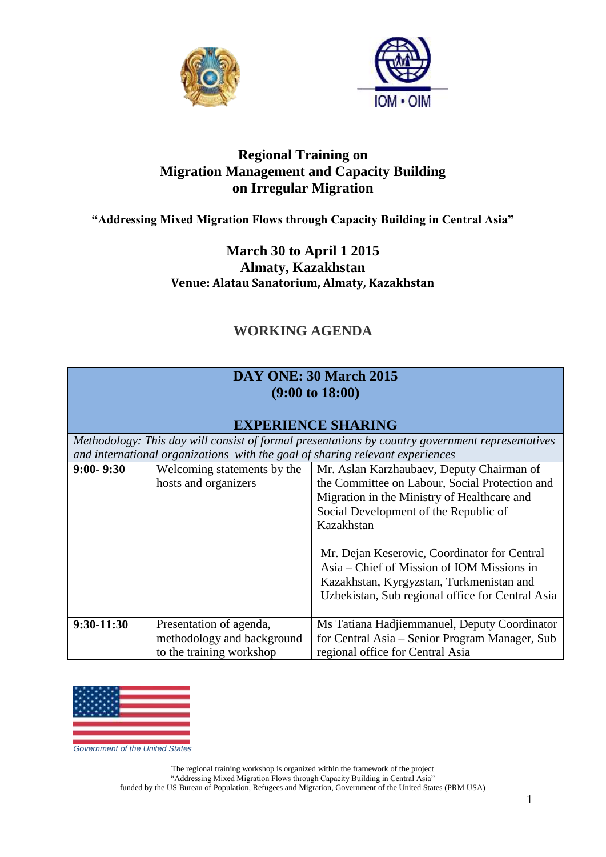



### **Regional Training on Migration Management and Capacity Building on Irregular Migration**

#### **"Addressing Mixed Migration Flows through Capacity Building in Central Asia"**

### **March 30 to April 1 2015 Almaty, Kazakhstan Venue: Alatau Sanatorium, Almaty, Kazakhstan**

# **WORKING AGENDA**

#### **DAY ONE: 30 March 2015 (9:00 to 18:00)**

### **EXPERIENCE SHARING**

*Methodology: This day will consist of formal presentations by country government representatives and international organizations with the goal of sharing relevant experiences*

| $9:00 - 9:30$ | Welcoming statements by the | Mr. Aslan Karzhaubaev, Deputy Chairman of        |
|---------------|-----------------------------|--------------------------------------------------|
|               | hosts and organizers        | the Committee on Labour, Social Protection and   |
|               |                             | Migration in the Ministry of Healthcare and      |
|               |                             | Social Development of the Republic of            |
|               |                             | Kazakhstan                                       |
|               |                             |                                                  |
|               |                             | Mr. Dejan Keserovic, Coordinator for Central     |
|               |                             | Asia – Chief of Mission of IOM Missions in       |
|               |                             | Kazakhstan, Kyrgyzstan, Turkmenistan and         |
|               |                             | Uzbekistan, Sub regional office for Central Asia |
|               |                             |                                                  |
| $9:30-11:30$  | Presentation of agenda,     | Ms Tatiana Hadjiemmanuel, Deputy Coordinator     |
|               | methodology and background  | for Central Asia - Senior Program Manager, Sub   |
|               | to the training workshop    | regional office for Central Asia                 |



*Government of the United States*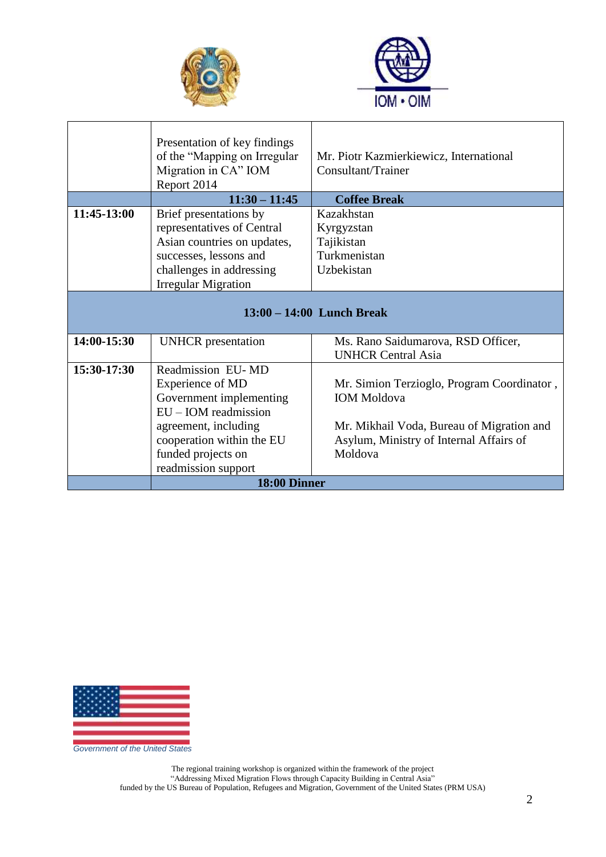



|                             | Presentation of key findings<br>of the "Mapping on Irregular<br>Migration in CA" IOM<br>Report 2014 | Mr. Piotr Kazmierkiewicz, International<br>Consultant/Trainer |
|-----------------------------|-----------------------------------------------------------------------------------------------------|---------------------------------------------------------------|
|                             | $11:30 - 11:45$                                                                                     | <b>Coffee Break</b>                                           |
| 11:45-13:00                 | Brief presentations by                                                                              | Kazakhstan                                                    |
|                             | representatives of Central                                                                          | Kyrgyzstan                                                    |
|                             | Asian countries on updates,                                                                         | Tajikistan                                                    |
|                             | successes, lessons and                                                                              | Turkmenistan                                                  |
|                             | challenges in addressing                                                                            | Uzbekistan                                                    |
|                             | <b>Irregular Migration</b>                                                                          |                                                               |
| $13:00 - 14:00$ Lunch Break |                                                                                                     |                                                               |
| 14:00-15:30                 | <b>UNHCR</b> presentation                                                                           | Ms. Rano Saidumarova, RSD Officer,                            |
|                             |                                                                                                     | <b>UNHCR Central Asia</b>                                     |
| 15:30-17:30                 | Readmission EU-MD                                                                                   |                                                               |
|                             | Experience of MD                                                                                    | Mr. Simion Terzioglo, Program Coordinator,                    |
|                             | Government implementing                                                                             | <b>IOM</b> Moldova                                            |
|                             | $EU$ – IOM readmission                                                                              |                                                               |
|                             | agreement, including                                                                                | Mr. Mikhail Voda, Bureau of Migration and                     |
|                             | cooperation within the EU                                                                           | Asylum, Ministry of Internal Affairs of                       |
|                             | funded projects on                                                                                  | Moldova                                                       |
|                             | readmission support                                                                                 |                                                               |
| 18:00 Dinner                |                                                                                                     |                                                               |



*Government of the United States*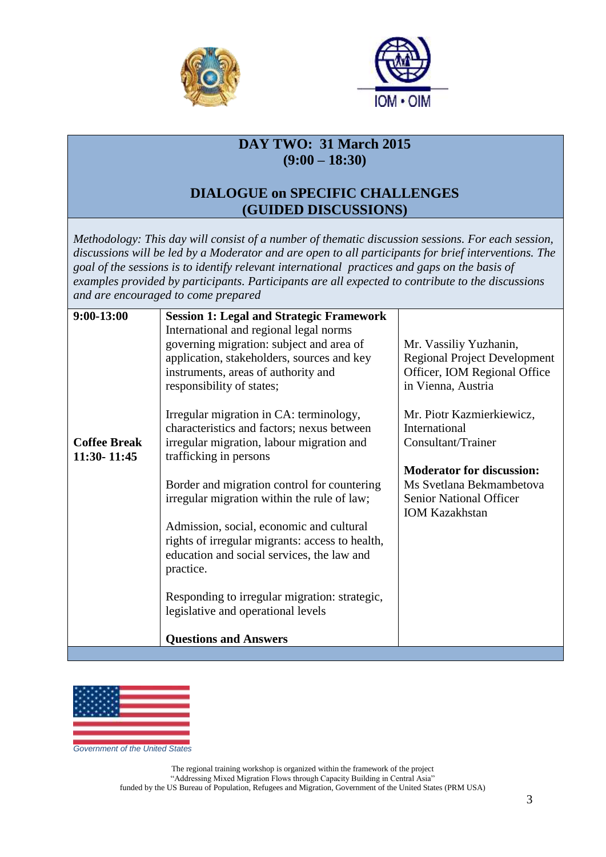



## **DAY TWO: 31 March 2015 (9:00 – 18:30)**

### **DIALOGUE on SPECIFIC CHALLENGES (GUIDED DISCUSSIONS)**

*Methodology: This day will consist of a number of thematic discussion sessions. For each session, discussions will be led by a Moderator and are open to all participants for brief interventions. The goal of the sessions is to identify relevant international practices and gaps on the basis of examples provided by participants. Participants are all expected to contribute to the discussions and are encouraged to come prepared*

| $9:00-13:00$        | <b>Session 1: Legal and Strategic Framework</b>                                             |                                                               |
|---------------------|---------------------------------------------------------------------------------------------|---------------------------------------------------------------|
|                     | International and regional legal norms                                                      |                                                               |
|                     | governing migration: subject and area of<br>application, stakeholders, sources and key      | Mr. Vassiliy Yuzhanin,<br><b>Regional Project Development</b> |
|                     | instruments, areas of authority and                                                         | Officer, IOM Regional Office                                  |
|                     | responsibility of states;                                                                   | in Vienna, Austria                                            |
|                     |                                                                                             |                                                               |
|                     | Irregular migration in CA: terminology,                                                     | Mr. Piotr Kazmierkiewicz,                                     |
| <b>Coffee Break</b> | characteristics and factors; nexus between                                                  | International<br>Consultant/Trainer                           |
| 11:30-11:45         | irregular migration, labour migration and<br>trafficking in persons                         |                                                               |
|                     |                                                                                             | <b>Moderator for discussion:</b>                              |
|                     | Border and migration control for countering                                                 | Ms Svetlana Bekmambetova                                      |
|                     | irregular migration within the rule of law;                                                 | <b>Senior National Officer</b>                                |
|                     |                                                                                             | <b>IOM Kazakhstan</b>                                         |
|                     | Admission, social, economic and cultural<br>rights of irregular migrants: access to health, |                                                               |
|                     | education and social services, the law and                                                  |                                                               |
|                     | practice.                                                                                   |                                                               |
|                     |                                                                                             |                                                               |
|                     | Responding to irregular migration: strategic,                                               |                                                               |
|                     | legislative and operational levels                                                          |                                                               |
|                     | <b>Questions and Answers</b>                                                                |                                                               |
|                     |                                                                                             |                                                               |



*Government of the United States*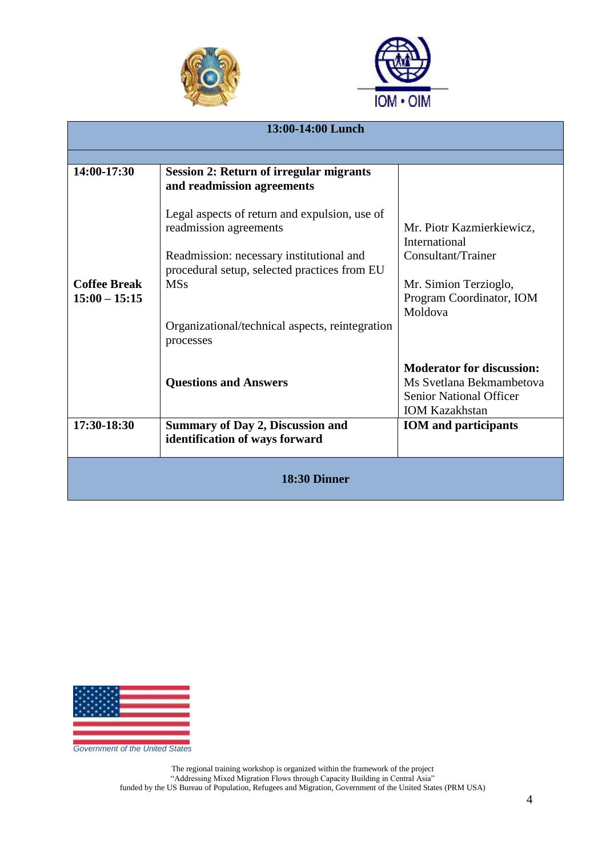



| 13:00-14:00 Lunch                      |                                                                                                                                                                                   |                                                                                                                                  |  |  |
|----------------------------------------|-----------------------------------------------------------------------------------------------------------------------------------------------------------------------------------|----------------------------------------------------------------------------------------------------------------------------------|--|--|
|                                        |                                                                                                                                                                                   |                                                                                                                                  |  |  |
| 14:00-17:30                            | <b>Session 2: Return of irregular migrants</b><br>and readmission agreements                                                                                                      |                                                                                                                                  |  |  |
| <b>Coffee Break</b><br>$15:00 - 15:15$ | Legal aspects of return and expulsion, use of<br>readmission agreements<br>Readmission: necessary institutional and<br>procedural setup, selected practices from EU<br><b>MSs</b> | Mr. Piotr Kazmierkiewicz,<br>International<br>Consultant/Trainer<br>Mr. Simion Terzioglo,<br>Program Coordinator, IOM<br>Moldova |  |  |
|                                        | Organizational/technical aspects, reintegration<br>processes                                                                                                                      |                                                                                                                                  |  |  |
|                                        | <b>Questions and Answers</b>                                                                                                                                                      | <b>Moderator for discussion:</b><br>Ms Svetlana Bekmambetova<br><b>Senior National Officer</b><br><b>IOM Kazakhstan</b>          |  |  |
| 17:30-18:30                            | <b>Summary of Day 2, Discussion and</b><br>identification of ways forward                                                                                                         | <b>IOM</b> and participants                                                                                                      |  |  |
| 18:30 Dinner                           |                                                                                                                                                                                   |                                                                                                                                  |  |  |



*Government of the United States*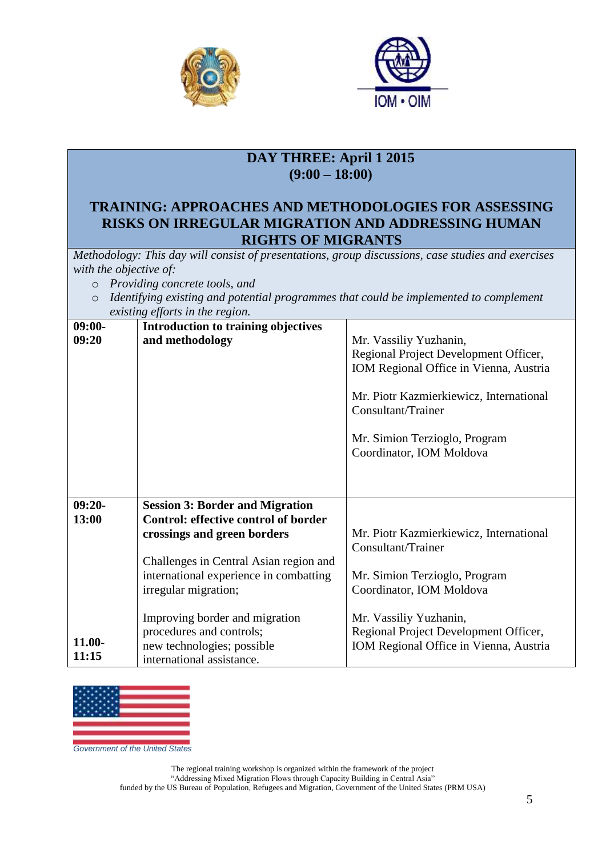



## **DAY THREE: April 1 2015 (9:00 – 18:00)**

#### **TRAINING: APPROACHES AND METHODOLOGIES FOR ASSESSING RISKS ON IRREGULAR MIGRATION AND ADDRESSING HUMAN RIGHTS OF MIGRANTS**

*Methodology: This day will consist of presentations, group discussions, case studies and exercises with the objective of:*

- o *Providing concrete tools, and*
- o *Identifying existing and potential programmes that could be implemented to complement existing efforts in the region.*

| $09:00-$  | Introduction to training objectives         |                                         |
|-----------|---------------------------------------------|-----------------------------------------|
| 09:20     | and methodology                             | Mr. Vassiliy Yuzhanin,                  |
|           |                                             | Regional Project Development Officer,   |
|           |                                             | IOM Regional Office in Vienna, Austria  |
|           |                                             |                                         |
|           |                                             | Mr. Piotr Kazmierkiewicz, International |
|           |                                             | Consultant/Trainer                      |
|           |                                             |                                         |
|           |                                             | Mr. Simion Terzioglo, Program           |
|           |                                             | Coordinator, IOM Moldova                |
|           |                                             |                                         |
|           |                                             |                                         |
|           |                                             |                                         |
| $09:20-$  | <b>Session 3: Border and Migration</b>      |                                         |
| 13:00     | <b>Control: effective control of border</b> |                                         |
|           | crossings and green borders                 | Mr. Piotr Kazmierkiewicz, International |
|           |                                             | Consultant/Trainer                      |
|           | Challenges in Central Asian region and      |                                         |
|           | international experience in combatting      | Mr. Simion Terzioglo, Program           |
|           | irregular migration;                        | Coordinator, IOM Moldova                |
|           |                                             |                                         |
|           | Improving border and migration              | Mr. Vassiliy Yuzhanin,                  |
|           | procedures and controls;                    | Regional Project Development Officer,   |
| $11.00 -$ | new technologies; possible                  | IOM Regional Office in Vienna, Austria  |
| 11:15     | international assistance.                   |                                         |
|           |                                             |                                         |



*Government of the United States*